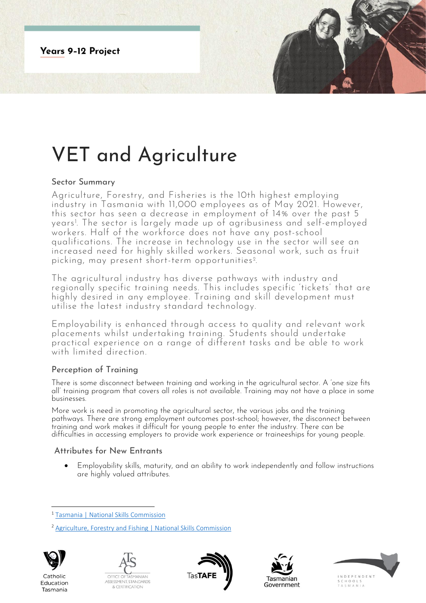

# VET and Agriculture

#### Sector Summary

Agriculture, Forestry, and Fisheries is the 10th highest employing industry in Tasmania with 11,000 employees as of May 2021. However, this sector has seen a decrease in employment of 14% over the past 5 years<sup>1</sup> . The sector is largely made up of agribusiness and self-employed workers. Half of the workforce does not have any post-school qualifications. The increase in technology use in the sector will see an increased need for highly skilled workers. Seasonal work, such as fruit picking, may present short-term opportunities <sup>2</sup> .

The agricultural industry has diverse pathways with industry and regionally specific training needs. This includes specific 'tickets' that are highly desired in any employee. Training and skill development must utilise the latest industry standard technology.

Employability is enhanced through access to quality and relevant work placements whilst undertaking training. Students should undertake practical experience on a range of different tasks and be able to work with limited direction.

## Perception of Training

There is some disconnect between training and working in the agricultural sector. A 'one size fits all' training program that covers all roles is not available. Training may not have a place in some businesses.

More work is need in promoting the agricultural sector, the various jobs and the training pathways. There are strong employment outcomes post-school; however, the disconnect between training and work makes it difficult for young people to enter the industry. There can be difficulties in accessing employers to provide work experience or traineeships for young people.

## Attributes for New Entrants

• Employability skills, maturity, and an ability to work independently and follow instructions are highly valued attributes.

<sup>2</sup> [Agriculture, Forestry and Fishing | National Skills Commission](https://www.nationalskillscommission.gov.au/agriculture-forestry-and-fishing-0)



Catholic

Education

Tasmania









<sup>1</sup> [Tasmania | National Skills Commission](https://www.nationalskillscommission.gov.au/tasmania-0)